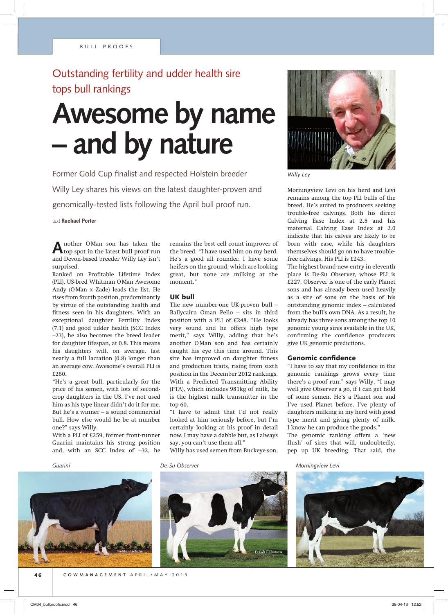# Outstanding fertility and udder health sire tops bull rankings

# **Awesome by name – and by nature**

Former Gold Cup finalist and respected Holstein breeder Willy Ley shares his views on the latest daughter-proven and genomically-tested lists following the April bull proof run.

text **Rachael Porter**

**A**nother OMan son has taken the top spot in the latest bull proof run and Devon-based breeder Willy Ley isn't surprised.

Ranked on Profitable Lifetime Index (PLI), US-bred Whitman O Man Awesome Andy (O Man x Zade) leads the list. He rises from fourth position, predominantly by virtue of the outstanding health and fitness seen in his daughters. With an exceptional daughter Fertility Index (7.1) and good udder health (SCC Index –23), he also becomes the breed leader for daughter lifespan, at 0.8. This means his daughters will, on average, last nearly a full lactation (0.8) longer than an average cow. Awesome's overall PLI is £260.

"He's a great bull, particularly for the price of his semen, with lots of secondcrop daughters in the US. I've not used him as his type linear didn't do it for me. But he's a winner – a sound commercial bull. How else would he be at number one?" says Willy.

With a PLI of £259, former front-runner Guarini maintains his strong position and, with an SCC Index of –32, he



remains the best cell count improver of the breed. "I have used him on my herd. He's a good all rounder. I have some heifers on the ground, which are looking great, but none are milking at the moment."

#### UK bull

The new number-one UK-proven bull – Ballycairn Oman Pello – sits in third position with a PLI of £248. "He looks very sound and he offers high type merit," says Willy, adding that he's another O Man son and has certainly caught his eye this time around. This sire has improved on daughter fitness and production traits, rising from sixth position in the December 2012 rankings. With a Predicted Transmitting Ability (PTA), which includes 981kg of milk, he is the highest milk transmitter in the top 60.

"I have to admit that I'd not really looked at him seriously before, but I'm certainly looking at his proof in detail now. I may have a dabble but, as I always say, you can't use them all."

Willy has used semen from Buckeye son,



*Willy Ley*

Morningview Levi on his herd and Levi remains among the top PLI bulls of the breed. He's suited to producers seeking trouble-free calvings. Both his direct Calving Ease Index at 2.5 and his maternal Calving Ease Index at 2.0 indicate that his calves are likely to be born with ease, while his daughters themselves should go on to have troublefree calvings. His PLI is £243.

The highest brand-new entry in eleventh place is De-Su Observer, whose PLI is £227. Observer is one of the early Planet sons and has already been used heavily as a sire of sons on the basis of his outstanding genomic index – calculated from the bull's own DNA. As a result, he already has three sons among the top 10 genomic young sires available in the UK, confirming the confidence producers give UK genomic predictions.

#### Genomic confidence

"I have to say that my confidence in the genomic rankings grows every time there's a proof run," says Willy. "I may well give Observer a go, if I can get hold of some semen. He's a Planet son and I've used Planet before. I've plenty of daughters milking in my herd with good type merit and giving plenty of milk. I know he can produce the goods." The genomic ranking offers a 'new flush' of sires that will, undoubtedly, pep up UK breeding. That said, the